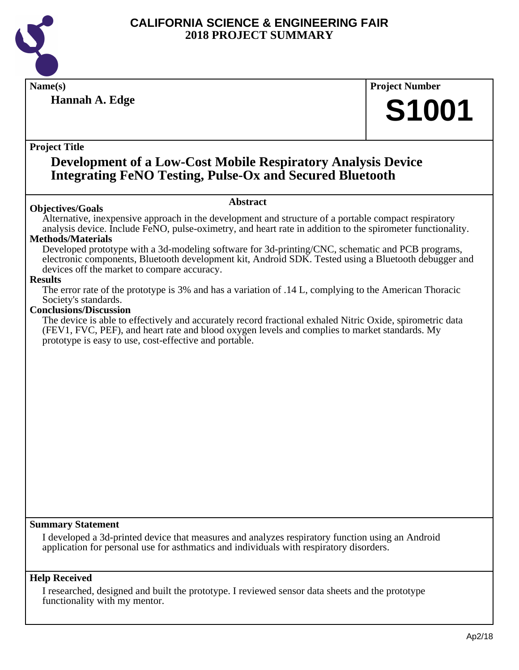

**Hannah A. Edge**

**Name(s) Project Number**

# **S1001**

#### **Project Title**

### **Development of a Low-Cost Mobile Respiratory Analysis Device Integrating FeNO Testing, Pulse-Ox and Secured Bluetooth**

#### **Objectives/Goals**

**Abstract**

Alternative, inexpensive approach in the development and structure of a portable compact respiratory analysis device. Include FeNO, pulse-oximetry, and heart rate in addition to the spirometer functionality.

#### **Methods/Materials**

Developed prototype with a 3d-modeling software for 3d-printing/CNC, schematic and PCB programs, electronic components, Bluetooth development kit, Android SDK. Tested using a Bluetooth debugger and devices off the market to compare accuracy.

#### **Results**

The error rate of the prototype is 3% and has a variation of .14 L, complying to the American Thoracic Society's standards.

#### **Conclusions/Discussion**

The device is able to effectively and accurately record fractional exhaled Nitric Oxide, spirometric data (FEV1, FVC, PEF), and heart rate and blood oxygen levels and complies to market standards. My prototype is easy to use, cost-effective and portable.

#### **Summary Statement**

I developed a 3d-printed device that measures and analyzes respiratory function using an Android application for personal use for asthmatics and individuals with respiratory disorders.

#### **Help Received**

I researched, designed and built the prototype. I reviewed sensor data sheets and the prototype functionality with my mentor.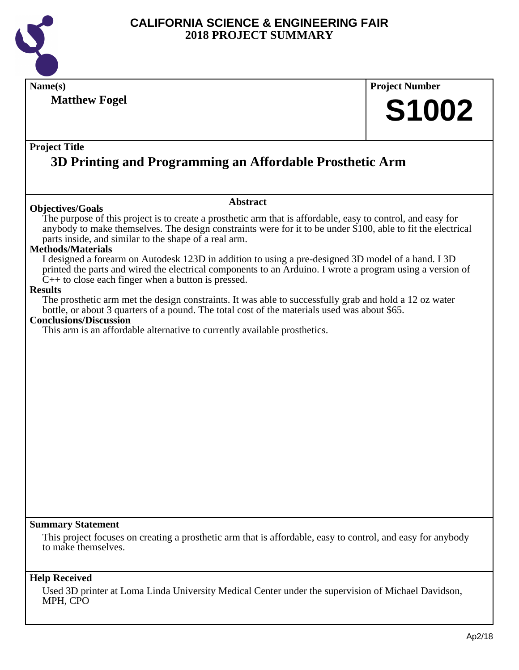

**Name(s) Project Number Project Title Abstract Summary Statement Help Received Matthew Fogel 3D Printing and Programming an Affordable Prosthetic Arm S1002 Objectives/Goals** The purpose of this project is to create a prosthetic arm that is affordable, easy to control, and easy for anybody to make themselves. The design constraints were for it to be under \$100, able to fit the electrical parts inside, and similar to the shape of a real arm. **Methods/Materials** I designed a forearm on Autodesk 123D in addition to using a pre-designed 3D model of a hand. I 3D printed the parts and wired the electrical components to an Arduino. I wrote a program using a version of  $C_{++}$  to close each finger when a button is pressed. **Results** The prosthetic arm met the design constraints. It was able to successfully grab and hold a 12 oz water bottle, or about 3 quarters of a pound. The total cost of the materials used was about \$65. **Conclusions/Discussion** This arm is an affordable alternative to currently available prosthetics. This project focuses on creating a prosthetic arm that is affordable, easy to control, and easy for anybody to make themselves. Used 3D printer at Loma Linda University Medical Center under the supervision of Michael Davidson, MPH, CPO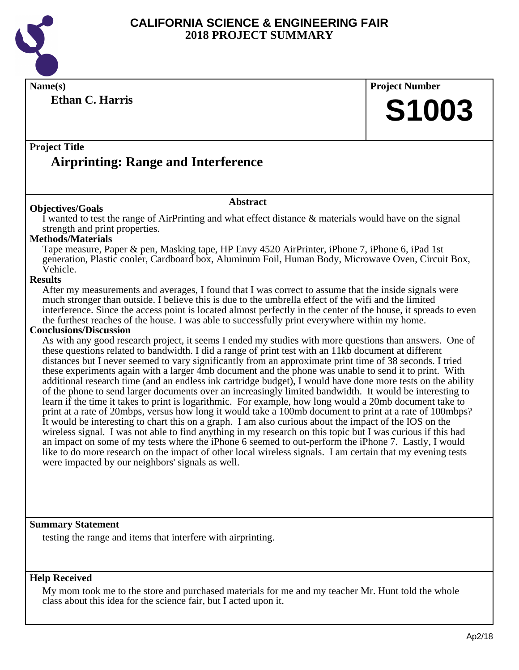

**Name(s) Project Number**

**Project Title Airprinting: Range and Interference**

#### **Objectives/Goals**

**Ethan C. Harris**

I wanted to test the range of AirPrinting and what effect distance & materials would have on the signal strength and print properties.

**Abstract**

#### **Methods/Materials**

Tape measure, Paper & pen, Masking tape, HP Envy 4520 AirPrinter, iPhone 7, iPhone 6, iPad 1st generation, Plastic cooler, Cardboard box, Aluminum Foil, Human Body, Microwave Oven, Circuit Box, Vehicle.

#### **Results**

After my measurements and averages, I found that I was correct to assume that the inside signals were much stronger than outside. I believe this is due to the umbrella effect of the wifi and the limited interference. Since the access point is located almost perfectly in the center of the house, it spreads to even the furthest reaches of the house. I was able to successfully print everywhere within my home.

#### **Conclusions/Discussion**

As with any good research project, it seems I ended my studies with more questions than answers. One of these questions related to bandwidth. I did a range of print test with an 11kb document at different distances but I never seemed to vary significantly from an approximate print time of 38 seconds. I tried these experiments again with a larger 4mb document and the phone was unable to send it to print. With additional research time (and an endless ink cartridge budget), I would have done more tests on the ability of the phone to send larger documents over an increasingly limited bandwidth. It would be interesting to learn if the time it takes to print is logarithmic. For example, how long would a 20mb document take to print at a rate of 20mbps, versus how long it would take a 100mb document to print at a rate of 100mbps? It would be interesting to chart this on a graph. I am also curious about the impact of the IOS on the wireless signal. I was not able to find anything in my research on this topic but I was curious if this had an impact on some of my tests where the iPhone 6 seemed to out-perform the iPhone 7. Lastly, I would like to do more research on the impact of other local wireless signals. I am certain that my evening tests were impacted by our neighbors' signals as well.

#### **Summary Statement**

testing the range and items that interfere with airprinting.

#### **Help Received**

My mom took me to the store and purchased materials for me and my teacher Mr. Hunt told the whole class about this idea for the science fair, but I acted upon it.

**S1003**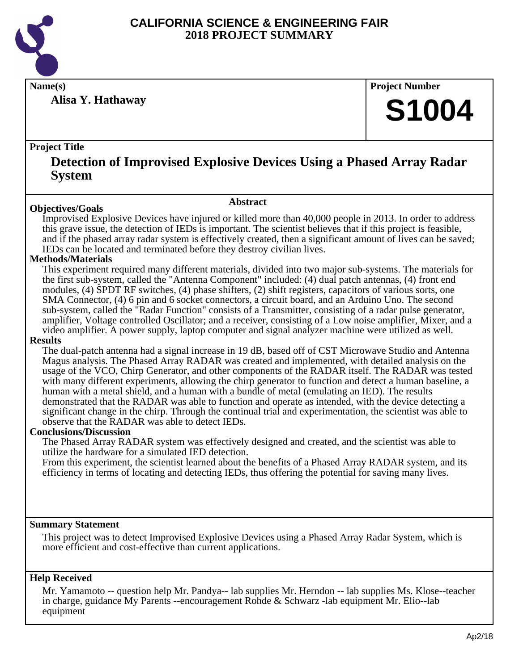

**Alisa Y. Hathaway**

**Name(s) Project Number**

# **S1004**

#### **Project Title**

### **Detection of Improvised Explosive Devices Using a Phased Array Radar System**

#### **Abstract**

**Objectives/Goals** Improvised Explosive Devices have injured or killed more than 40,000 people in 2013. In order to address this grave issue, the detection of IEDs is important. The scientist believes that if this project is feasible, and if the phased array radar system is effectively created, then a significant amount of lives can be saved; IEDs can be located and terminated before they destroy civilian lives.

#### **Methods/Materials**

This experiment required many different materials, divided into two major sub-systems. The materials for the first sub-system, called the "Antenna Component" included: (4) dual patch antennas, (4) front end modules, (4) SPDT RF switches, (4) phase shifters, (2) shift registers, capacitors of various sorts, one SMA Connector, (4) 6 pin and 6 socket connectors, a circuit board, and an Arduino Uno. The second sub-system, called the "Radar Function" consists of a Transmitter, consisting of a radar pulse generator, amplifier, Voltage controlled Oscillator; and a receiver, consisting of a Low noise amplifier, Mixer, and a video amplifier. A power supply, laptop computer and signal analyzer machine were utilized as well.

#### **Results**

The dual-patch antenna had a signal increase in 19 dB, based off of CST Microwave Studio and Antenna Magus analysis. The Phased Array RADAR was created and implemented, with detailed analysis on the usage of the VCO, Chirp Generator, and other components of the RADAR itself. The RADAR was tested with many different experiments, allowing the chirp generator to function and detect a human baseline, a human with a metal shield, and a human with a bundle of metal (emulating an IED). The results demonstrated that the RADAR was able to function and operate as intended, with the device detecting a significant change in the chirp. Through the continual trial and experimentation, the scientist was able to observe that the RADAR was able to detect IEDs.

#### **Conclusions/Discussion**

The Phased Array RADAR system was effectively designed and created, and the scientist was able to utilize the hardware for a simulated IED detection.

From this experiment, the scientist learned about the benefits of a Phased Array RADAR system, and its efficiency in terms of locating and detecting IEDs, thus offering the potential for saving many lives.

#### **Summary Statement**

This project was to detect Improvised Explosive Devices using a Phased Array Radar System, which is more efficient and cost-effective than current applications.

#### **Help Received**

Mr. Yamamoto -- question help Mr. Pandya-- lab supplies Mr. Herndon -- lab supplies Ms. Klose--teacher in charge, guidance My Parents --encouragement Rohde & Schwarz -lab equipment Mr. Elio--lab equipment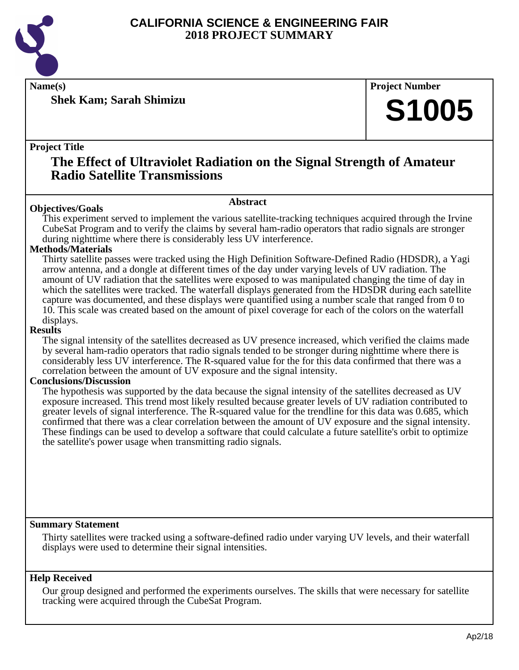

**Shek Kam; Sarah Shimizu**

**Name(s) Project Number**

# **S1005**

#### **Project Title**

### **The Effect of Ultraviolet Radiation on the Signal Strength of Amateur Radio Satellite Transmissions**

#### **Abstract**

**Objectives/Goals** This experiment served to implement the various satellite-tracking techniques acquired through the Irvine CubeSat Program and to verify the claims by several ham-radio operators that radio signals are stronger during nighttime where there is considerably less UV interference.

#### **Methods/Materials**

Thirty satellite passes were tracked using the High Definition Software-Defined Radio (HDSDR), a Yagi arrow antenna, and a dongle at different times of the day under varying levels of UV radiation. The amount of UV radiation that the satellites were exposed to was manipulated changing the time of day in which the satellites were tracked. The waterfall displays generated from the HDSDR during each satellite capture was documented, and these displays were quantified using a number scale that ranged from 0 to 10. This scale was created based on the amount of pixel coverage for each of the colors on the waterfall displays.

#### **Results**

The signal intensity of the satellites decreased as UV presence increased, which verified the claims made by several ham-radio operators that radio signals tended to be stronger during nighttime where there is considerably less UV interference. The R-squared value for the for this data confirmed that there was a correlation between the amount of UV exposure and the signal intensity.

#### **Conclusions/Discussion**

The hypothesis was supported by the data because the signal intensity of the satellites decreased as UV exposure increased. This trend most likely resulted because greater levels of UV radiation contributed to greater levels of signal interference. The R-squared value for the trendline for this data was 0.685, which confirmed that there was a clear correlation between the amount of UV exposure and the signal intensity. These findings can be used to develop a software that could calculate a future satellite's orbit to optimize the satellite's power usage when transmitting radio signals.

#### **Summary Statement**

Thirty satellites were tracked using a software-defined radio under varying UV levels, and their waterfall displays were used to determine their signal intensities.

#### **Help Received**

Our group designed and performed the experiments ourselves. The skills that were necessary for satellite tracking were acquired through the CubeSat Program.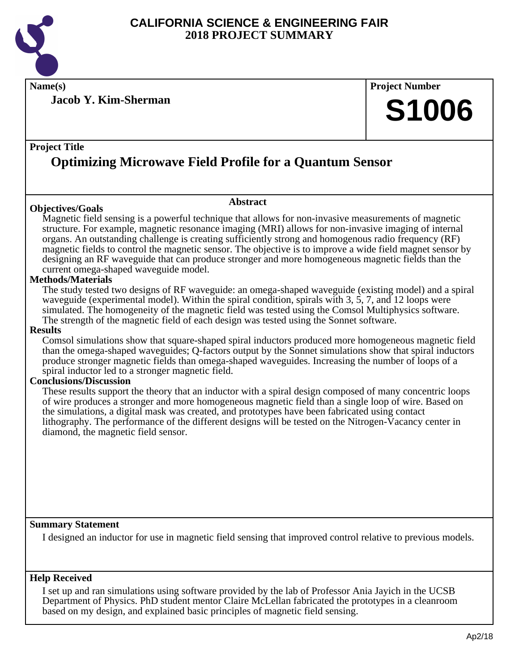

**Name(s) Project Number**

**Jacob Y. Kim-Sherman**

#### **Project Title**

# **Optimizing Microwave Field Profile for a Quantum Sensor**

#### **Objectives/Goals**

#### **Abstract**

Magnetic field sensing is a powerful technique that allows for non-invasive measurements of magnetic structure. For example, magnetic resonance imaging (MRI) allows for non-invasive imaging of internal organs. An outstanding challenge is creating sufficiently strong and homogenous radio frequency (RF) magnetic fields to control the magnetic sensor. The objective is to improve a wide field magnet sensor by designing an RF waveguide that can produce stronger and more homogeneous magnetic fields than the current omega-shaped waveguide model.

#### **Methods/Materials**

The study tested two designs of RF waveguide: an omega-shaped waveguide (existing model) and a spiral waveguide (experimental model). Within the spiral condition, spirals with 3, 5, 7, and 12 loops were simulated. The homogeneity of the magnetic field was tested using the Comsol Multiphysics software. The strength of the magnetic field of each design was tested using the Sonnet software.

#### **Results**

Comsol simulations show that square-shaped spiral inductors produced more homogeneous magnetic field than the omega-shaped waveguides; Q-factors output by the Sonnet simulations show that spiral inductors produce stronger magnetic fields than omega-shaped waveguides. Increasing the number of loops of a spiral inductor led to a stronger magnetic field.

#### **Conclusions/Discussion**

These results support the theory that an inductor with a spiral design composed of many concentric loops of wire produces a stronger and more homogeneous magnetic field than a single loop of wire. Based on the simulations, a digital mask was created, and prototypes have been fabricated using contact lithography. The performance of the different designs will be tested on the Nitrogen-Vacancy center in diamond, the magnetic field sensor.

#### **Summary Statement**

I designed an inductor for use in magnetic field sensing that improved control relative to previous models.

#### **Help Received**

I set up and ran simulations using software provided by the lab of Professor Ania Jayich in the UCSB Department of Physics. PhD student mentor Claire McLellan fabricated the prototypes in a cleanroom based on my design, and explained basic principles of magnetic field sensing.

**S1006**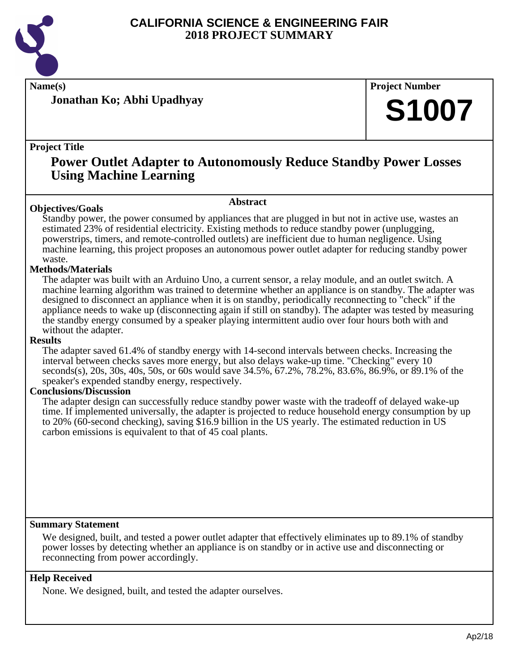

**Jonathan Ko; Abhi Upadhyay**

**Name(s) Project Number**

# **S1007**

#### **Project Title**

## **Power Outlet Adapter to Autonomously Reduce Standby Power Losses Using Machine Learning**

#### **Abstract**

**Objectives/Goals** Standby power, the power consumed by appliances that are plugged in but not in active use, wastes an estimated 23% of residential electricity. Existing methods to reduce standby power (unplugging, powerstrips, timers, and remote-controlled outlets) are inefficient due to human negligence. Using machine learning, this project proposes an autonomous power outlet adapter for reducing standby power waste.

#### **Methods/Materials**

The adapter was built with an Arduino Uno, a current sensor, a relay module, and an outlet switch. A machine learning algorithm was trained to determine whether an appliance is on standby. The adapter was designed to disconnect an appliance when it is on standby, periodically reconnecting to "check" if the appliance needs to wake up (disconnecting again if still on standby). The adapter was tested by measuring the standby energy consumed by a speaker playing intermittent audio over four hours both with and without the adapter.

#### **Results**

The adapter saved 61.4% of standby energy with 14-second intervals between checks. Increasing the interval between checks saves more energy, but also delays wake-up time. "Checking" every 10 seconds(s), 20s, 30s, 40s, 50s, or 60s would save 34.5%, 67.2%, 78.2%, 83.6%, 86.9%, or 89.1% of the speaker's expended standby energy, respectively.

#### **Conclusions/Discussion**

The adapter design can successfully reduce standby power waste with the tradeoff of delayed wake-up time. If implemented universally, the adapter is projected to reduce household energy consumption by up to 20% (60-second checking), saving \$16.9 billion in the US yearly. The estimated reduction in US carbon emissions is equivalent to that of 45 coal plants.

#### **Summary Statement**

We designed, built, and tested a power outlet adapter that effectively eliminates up to 89.1% of standby power losses by detecting whether an appliance is on standby or in active use and disconnecting or reconnecting from power accordingly.

#### **Help Received**

None. We designed, built, and tested the adapter ourselves.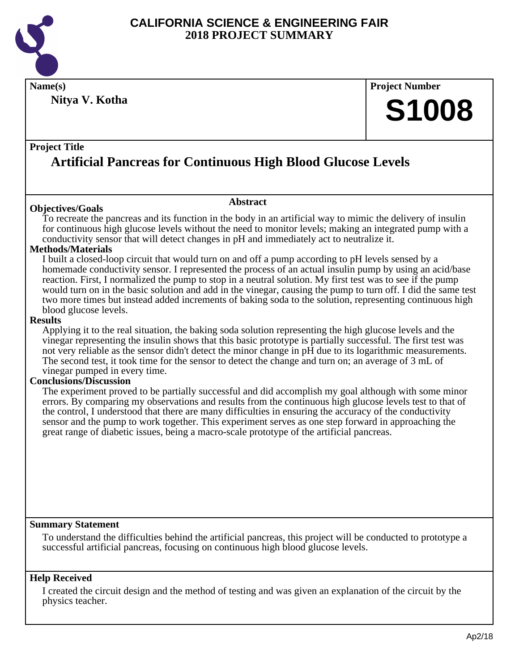

**Name(s) Project Number Nitya V. Kotha**

# **S1008**

#### **Project Title**

# **Artificial Pancreas for Continuous High Blood Glucose Levels**

#### **Objectives/Goals**

To recreate the pancreas and its function in the body in an artificial way to mimic the delivery of insulin for continuous high glucose levels without the need to monitor levels; making an integrated pump with a conductivity sensor that will detect changes in pH and immediately act to neutralize it.

**Abstract**

#### **Methods/Materials**

I built a closed-loop circuit that would turn on and off a pump according to pH levels sensed by a homemade conductivity sensor. I represented the process of an actual insulin pump by using an acid/base reaction. First, I normalized the pump to stop in a neutral solution. My first test was to see if the pump would turn on in the basic solution and add in the vinegar, causing the pump to turn off. I did the same test two more times but instead added increments of baking soda to the solution, representing continuous high blood glucose levels.

#### **Results**

Applying it to the real situation, the baking soda solution representing the high glucose levels and the vinegar representing the insulin shows that this basic prototype is partially successful. The first test was not very reliable as the sensor didn't detect the minor change in pH due to its logarithmic measurements. The second test, it took time for the sensor to detect the change and turn on; an average of 3 mL of vinegar pumped in every time.

#### **Conclusions/Discussion**

The experiment proved to be partially successful and did accomplish my goal although with some minor errors. By comparing my observations and results from the continuous high glucose levels test to that of the control, I understood that there are many difficulties in ensuring the accuracy of the conductivity sensor and the pump to work together. This experiment serves as one step forward in approaching the great range of diabetic issues, being a macro-scale prototype of the artificial pancreas.

#### **Summary Statement**

To understand the difficulties behind the artificial pancreas, this project will be conducted to prototype a successful artificial pancreas, focusing on continuous high blood glucose levels.

#### **Help Received**

I created the circuit design and the method of testing and was given an explanation of the circuit by the physics teacher.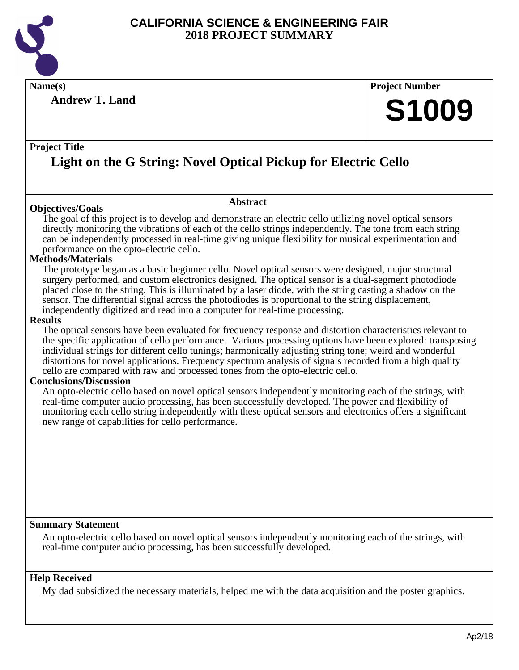

**Name(s) Project Number**

**Andrew T. Land**

# **S1009**

#### **Project Title**

# **Light on the G String: Novel Optical Pickup for Electric Cello**

#### **Objectives/Goals**

The goal of this project is to develop and demonstrate an electric cello utilizing novel optical sensors directly monitoring the vibrations of each of the cello strings independently. The tone from each string can be independently processed in real-time giving unique flexibility for musical experimentation and performance on the opto-electric cello.

**Abstract**

#### **Methods/Materials**

The prototype began as a basic beginner cello. Novel optical sensors were designed, major structural surgery performed, and custom electronics designed. The optical sensor is a dual-segment photodiode placed close to the string. This is illuminated by a laser diode, with the string casting a shadow on the sensor. The differential signal across the photodiodes is proportional to the string displacement, independently digitized and read into a computer for real-time processing.

#### **Results**

The optical sensors have been evaluated for frequency response and distortion characteristics relevant to the specific application of cello performance. Various processing options have been explored: transposing individual strings for different cello tunings; harmonically adjusting string tone; weird and wonderful distortions for novel applications. Frequency spectrum analysis of signals recorded from a high quality cello are compared with raw and processed tones from the opto-electric cello.

#### **Conclusions/Discussion**

An opto-electric cello based on novel optical sensors independently monitoring each of the strings, with real-time computer audio processing, has been successfully developed. The power and flexibility of monitoring each cello string independently with these optical sensors and electronics offers a significant new range of capabilities for cello performance.

#### **Summary Statement**

An opto-electric cello based on novel optical sensors independently monitoring each of the strings, with real-time computer audio processing, has been successfully developed.

#### **Help Received**

My dad subsidized the necessary materials, helped me with the data acquisition and the poster graphics.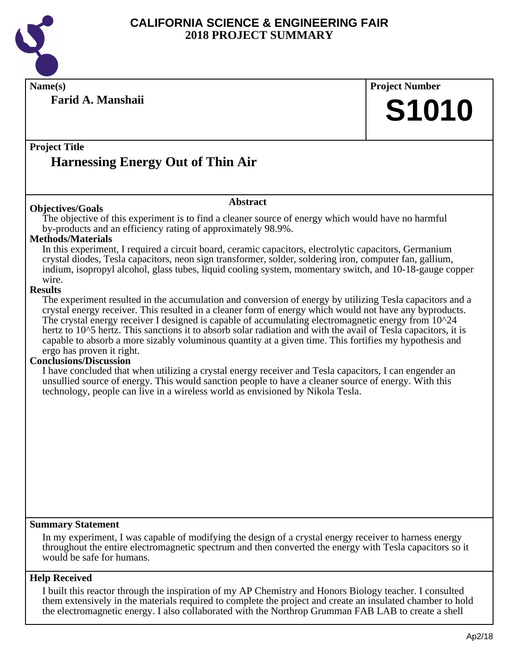

**Name(s) Project Number**

**Farid A. Manshaii**

**S1010**

#### **Project Title**

# **Harnessing Energy Out of Thin Air**

#### **Objectives/Goals**

The objective of this experiment is to find a cleaner source of energy which would have no harmful by-products and an efficiency rating of approximately 98.9%.

**Abstract**

#### **Methods/Materials**

In this experiment, I required a circuit board, ceramic capacitors, electrolytic capacitors, Germanium crystal diodes, Tesla capacitors, neon sign transformer, solder, soldering iron, computer fan, gallium, indium, isopropyl alcohol, glass tubes, liquid cooling system, momentary switch, and 10-18-gauge copper wire.

#### **Results**

The experiment resulted in the accumulation and conversion of energy by utilizing Tesla capacitors and a crystal energy receiver. This resulted in a cleaner form of energy which would not have any byproducts. The crystal energy receiver I designed is capable of accumulating electromagnetic energy from 10^24 hertz to 10^5 hertz. This sanctions it to absorb solar radiation and with the avail of Tesla capacitors, it is capable to absorb a more sizably voluminous quantity at a given time. This fortifies my hypothesis and ergo has proven it right.

#### **Conclusions/Discussion**

I have concluded that when utilizing a crystal energy receiver and Tesla capacitors, I can engender an unsullied source of energy. This would sanction people to have a cleaner source of energy. With this technology, people can live in a wireless world as envisioned by Nikola Tesla.

#### **Summary Statement**

In my experiment, I was capable of modifying the design of a crystal energy receiver to harness energy throughout the entire electromagnetic spectrum and then converted the energy with Tesla capacitors so it would be safe for humans.

#### **Help Received**

I built this reactor through the inspiration of my AP Chemistry and Honors Biology teacher. I consulted them extensively in the materials required to complete the project and create an insulated chamber to hold the electromagnetic energy. I also collaborated with the Northrop Grumman FAB LAB to create a shell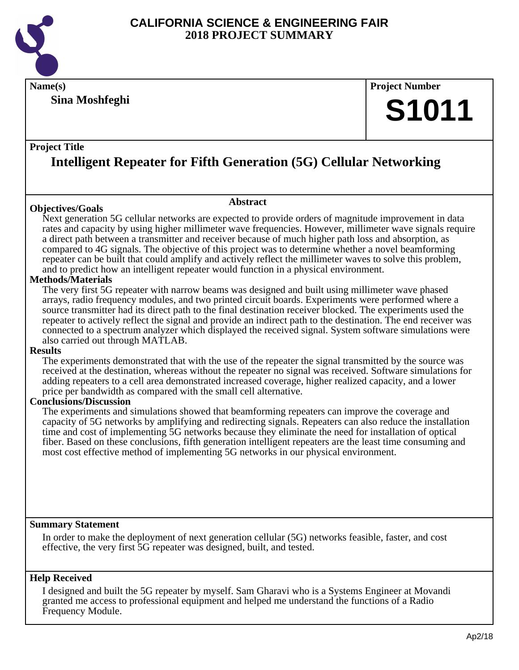

**Sina Moshfeghi**

# **Name(s) Project Number S1011**

#### **Project Title**

# **Intelligent Repeater for Fifth Generation (5G) Cellular Networking**

#### **Objectives/Goals**

#### **Abstract**

Next generation 5G cellular networks are expected to provide orders of magnitude improvement in data rates and capacity by using higher millimeter wave frequencies. However, millimeter wave signals require a direct path between a transmitter and receiver because of much higher path loss and absorption, as compared to 4G signals. The objective of this project was to determine whether a novel beamforming repeater can be built that could amplify and actively reflect the millimeter waves to solve this problem, and to predict how an intelligent repeater would function in a physical environment.

#### **Methods/Materials**

The very first 5G repeater with narrow beams was designed and built using millimeter wave phased arrays, radio frequency modules, and two printed circuit boards. Experiments were performed where a source transmitter had its direct path to the final destination receiver blocked. The experiments used the repeater to actively reflect the signal and provide an indirect path to the destination. The end receiver was connected to a spectrum analyzer which displayed the received signal. System software simulations were also carried out through MATLAB.

#### **Results**

The experiments demonstrated that with the use of the repeater the signal transmitted by the source was received at the destination, whereas without the repeater no signal was received. Software simulations for adding repeaters to a cell area demonstrated increased coverage, higher realized capacity, and a lower price per bandwidth as compared with the small cell alternative.

#### **Conclusions/Discussion**

The experiments and simulations showed that beamforming repeaters can improve the coverage and capacity of 5G networks by amplifying and redirecting signals. Repeaters can also reduce the installation time and cost of implementing 5G networks because they eliminate the need for installation of optical fiber. Based on these conclusions, fifth generation intelligent repeaters are the least time consuming and most cost effective method of implementing 5G networks in our physical environment.

#### **Summary Statement**

In order to make the deployment of next generation cellular (5G) networks feasible, faster, and cost effective, the very first 5G repeater was designed, built, and tested.

#### **Help Received**

I designed and built the 5G repeater by myself. Sam Gharavi who is a Systems Engineer at Movandi granted me access to professional equipment and helped me understand the functions of a Radio Frequency Module.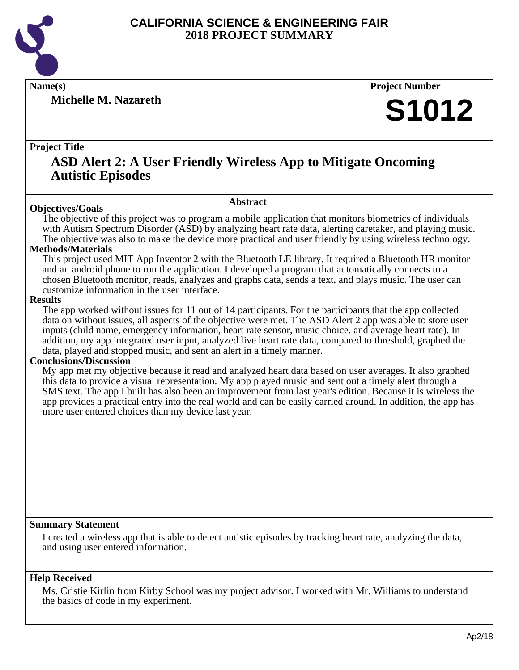

**Michelle M. Nazareth**

**Name(s) Project Number**

# **S1012**

#### **Project Title**

### **ASD Alert 2: A User Friendly Wireless App to Mitigate Oncoming Autistic Episodes**

#### **Abstract**

**Objectives/Goals** The objective of this project was to program a mobile application that monitors biometrics of individuals with Autism Spectrum Disorder (ASD) by analyzing heart rate data, alerting caretaker, and playing music. The objective was also to make the device more practical and user friendly by using wireless technology.

#### **Methods/Materials**

This project used MIT App Inventor 2 with the Bluetooth LE library. It required a Bluetooth HR monitor and an android phone to run the application. I developed a program that automatically connects to a chosen Bluetooth monitor, reads, analyzes and graphs data, sends a text, and plays music. The user can customize information in the user interface.

#### **Results**

The app worked without issues for 11 out of 14 participants. For the participants that the app collected data on without issues, all aspects of the objective were met. The ASD Alert 2 app was able to store user inputs (child name, emergency information, heart rate sensor, music choice. and average heart rate). In addition, my app integrated user input, analyzed live heart rate data, compared to threshold, graphed the data, played and stopped music, and sent an alert in a timely manner.

#### **Conclusions/Discussion**

My app met my objective because it read and analyzed heart data based on user averages. It also graphed this data to provide a visual representation. My app played music and sent out a timely alert through a SMS text. The app I built has also been an improvement from last year's edition. Because it is wireless the app provides a practical entry into the real world and can be easily carried around. In addition, the app has more user entered choices than my device last year.

#### **Summary Statement**

I created a wireless app that is able to detect autistic episodes by tracking heart rate, analyzing the data, and using user entered information.

#### **Help Received**

Ms. Cristie Kirlin from Kirby School was my project advisor. I worked with Mr. Williams to understand the basics of code in my experiment.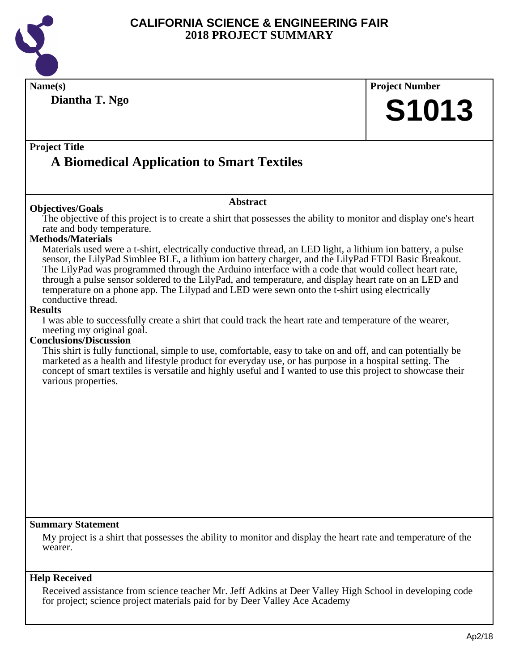

| Name(s)                                                                                                                                                                                                     | <b>Project Number</b> |
|-------------------------------------------------------------------------------------------------------------------------------------------------------------------------------------------------------------|-----------------------|
| Diantha T. Ngo                                                                                                                                                                                              |                       |
|                                                                                                                                                                                                             | <b>S1013</b>          |
|                                                                                                                                                                                                             |                       |
| <b>Project Title</b>                                                                                                                                                                                        |                       |
| <b>A Biomedical Application to Smart Textiles</b>                                                                                                                                                           |                       |
|                                                                                                                                                                                                             |                       |
| <b>Abstract</b>                                                                                                                                                                                             |                       |
| <b>Objectives/Goals</b>                                                                                                                                                                                     |                       |
| The objective of this project is to create a shirt that possesses the ability to monitor and display one's heart<br>rate and body temperature.                                                              |                       |
| <b>Methods/Materials</b>                                                                                                                                                                                    |                       |
| Materials used were a t-shirt, electrically conductive thread, an LED light, a lithium ion battery, a pulse                                                                                                 |                       |
| sensor, the LilyPad Simblee BLE, a lithium ion battery charger, and the LilyPad FTDI Basic Breakout.<br>The LilyPad was programmed through the Arduino interface with a code that would collect heart rate, |                       |
| through a pulse sensor soldered to the LilyPad, and temperature, and display heart rate on an LED and                                                                                                       |                       |
| temperature on a phone app. The Lilypad and LED were sewn onto the t-shirt using electrically                                                                                                               |                       |
| conductive thread.<br><b>Results</b>                                                                                                                                                                        |                       |
| I was able to successfully create a shirt that could track the heart rate and temperature of the wearer,                                                                                                    |                       |
| meeting my original goal.                                                                                                                                                                                   |                       |
| <b>Conclusions/Discussion</b><br>This shirt is fully functional, simple to use, comfortable, easy to take on and off, and can potentially be                                                                |                       |
| marketed as a health and lifestyle product for everyday use, or has purpose in a hospital setting. The                                                                                                      |                       |
| concept of smart textiles is versatile and highly useful and I wanted to use this project to showcase their                                                                                                 |                       |
| various properties.                                                                                                                                                                                         |                       |
|                                                                                                                                                                                                             |                       |
|                                                                                                                                                                                                             |                       |
|                                                                                                                                                                                                             |                       |
|                                                                                                                                                                                                             |                       |
|                                                                                                                                                                                                             |                       |
|                                                                                                                                                                                                             |                       |
|                                                                                                                                                                                                             |                       |
|                                                                                                                                                                                                             |                       |
|                                                                                                                                                                                                             |                       |
| <b>Summary Statement</b>                                                                                                                                                                                    |                       |
| My project is a shirt that possesses the ability to monitor and display the heart rate and temperature of the                                                                                               |                       |
| wearer.                                                                                                                                                                                                     |                       |
|                                                                                                                                                                                                             |                       |
| <b>Help Received</b>                                                                                                                                                                                        |                       |
| Received assistance from science teacher Mr. Jeff Adkins at Deer Valley High School in developing code<br>for project; science project materials paid for by Deer Valley Ace Academy                        |                       |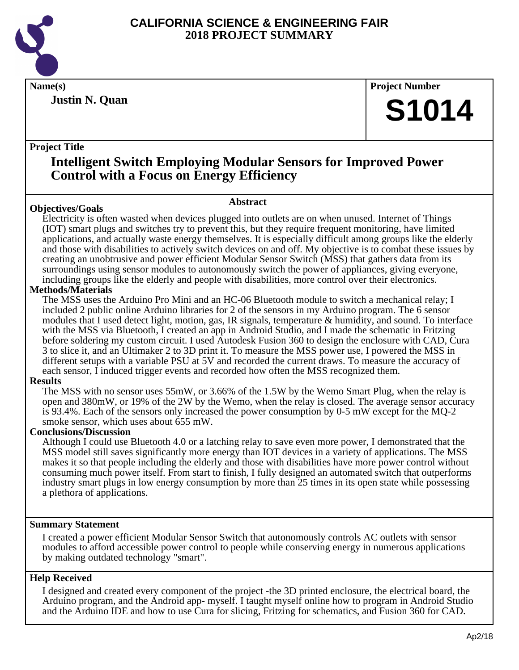

**Justin N. Quan**

**Name(s) Project Number**

# **S1014**

#### **Project Title**

## **Intelligent Switch Employing Modular Sensors for Improved Power Control with a Focus on Energy Efficiency**

**Abstract**

### **Objectives/Goals**

Electricity is often wasted when devices plugged into outlets are on when unused. Internet of Things (IOT) smart plugs and switches try to prevent this, but they require frequent monitoring, have limited applications, and actually waste energy themselves. It is especially difficult among groups like the elderly and those with disabilities to actively switch devices on and off. My objective is to combat these issues by creating an unobtrusive and power efficient Modular Sensor Switch (MSS) that gathers data from its surroundings using sensor modules to autonomously switch the power of appliances, giving everyone, including groups like the elderly and people with disabilities, more control over their electronics.

#### **Methods/Materials**

The MSS uses the Arduino Pro Mini and an HC-06 Bluetooth module to switch a mechanical relay; I included 2 public online Arduino libraries for 2 of the sensors in my Arduino program. The 6 sensor modules that I used detect light, motion, gas, IR signals, temperature & humidity, and sound. To interface with the MSS via Bluetooth, I created an app in Android Studio, and I made the schematic in Fritzing before soldering my custom circuit. I used Autodesk Fusion 360 to design the enclosure with CAD, Cura 3 to slice it, and an Ultimaker 2 to 3D print it. To measure the MSS power use, I powered the MSS in different setups with a variable PSU at 5V and recorded the current draws. To measure the accuracy of each sensor, I induced trigger events and recorded how often the MSS recognized them.

#### **Results**

The MSS with no sensor uses 55mW, or 3.66% of the 1.5W by the Wemo Smart Plug, when the relay is open and 380mW, or 19% of the 2W by the Wemo, when the relay is closed. The average sensor accuracy is 93.4%. Each of the sensors only increased the power consumption by 0-5 mW except for the MQ-2 smoke sensor, which uses about 655 mW.

#### **Conclusions/Discussion**

Although I could use Bluetooth 4.0 or a latching relay to save even more power, I demonstrated that the MSS model still saves significantly more energy than IOT devices in a variety of applications. The MSS makes it so that people including the elderly and those with disabilities have more power control without consuming much power itself. From start to finish, I fully designed an automated switch that outperforms industry smart plugs in low energy consumption by more than 25 times in its open state while possessing a plethora of applications.

#### **Summary Statement**

I created a power efficient Modular Sensor Switch that autonomously controls AC outlets with sensor modules to afford accessible power control to people while conserving energy in numerous applications by making outdated technology "smart".

#### **Help Received**

I designed and created every component of the project -the 3D printed enclosure, the electrical board, the Arduino program, and the Android app- myself. I taught myself online how to program in Android Studio and the Arduino IDE and how to use Cura for slicing, Fritzing for schematics, and Fusion 360 for CAD.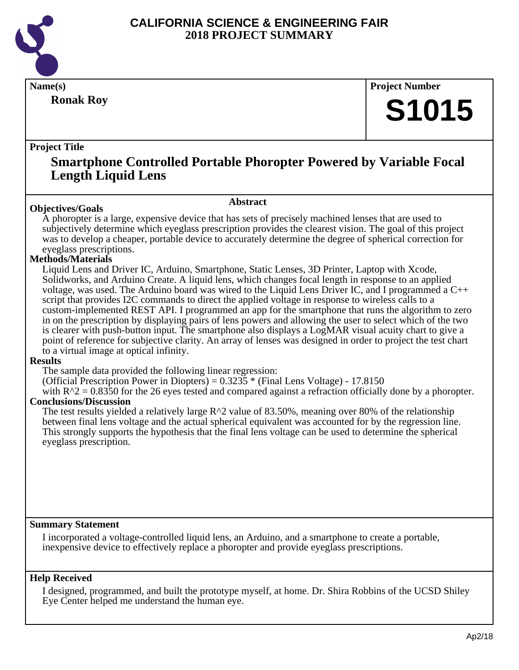

**Ronak Roy**

**Name(s) Project Number**

# **S1015**

#### **Project Title**

### **Smartphone Controlled Portable Phoropter Powered by Variable Focal Length Liquid Lens**

#### **Abstract**

**Objectives/Goals** A phoropter is a large, expensive device that has sets of precisely machined lenses that are used to subjectively determine which eyeglass prescription provides the clearest vision. The goal of this project was to develop a cheaper, portable device to accurately determine the degree of spherical correction for eyeglass prescriptions.

#### **Methods/Materials**

Liquid Lens and Driver IC, Arduino, Smartphone, Static Lenses, 3D Printer, Laptop with Xcode, Solidworks, and Arduino Create. A liquid lens, which changes focal length in response to an applied voltage, was used. The Arduino board was wired to the Liquid Lens Driver IC, and I programmed a C++ script that provides I2C commands to direct the applied voltage in response to wireless calls to a custom-implemented REST API. I programmed an app for the smartphone that runs the algorithm to zero in on the prescription by displaying pairs of lens powers and allowing the user to select which of the two is clearer with push-button input. The smartphone also displays a LogMAR visual acuity chart to give a point of reference for subjective clarity. An array of lenses was designed in order to project the test chart to a virtual image at optical infinity.

#### **Results**

The sample data provided the following linear regression:

(Official Prescription Power in Diopters) =  $0.3235$  \* (Final Lens Voltage) - 17.8150

with  $R^2 = 0.8350$  for the 26 eyes tested and compared against a refraction officially done by a phoropter. **Conclusions/Discussion**

The test results yielded a relatively large  $R^2$  value of 83.50%, meaning over 80% of the relationship between final lens voltage and the actual spherical equivalent was accounted for by the regression line. This strongly supports the hypothesis that the final lens voltage can be used to determine the spherical eyeglass prescription.

#### **Summary Statement**

I incorporated a voltage-controlled liquid lens, an Arduino, and a smartphone to create a portable, inexpensive device to effectively replace a phoropter and provide eyeglass prescriptions.

#### **Help Received**

I designed, programmed, and built the prototype myself, at home. Dr. Shira Robbins of the UCSD Shiley Eye Center helped me understand the human eye.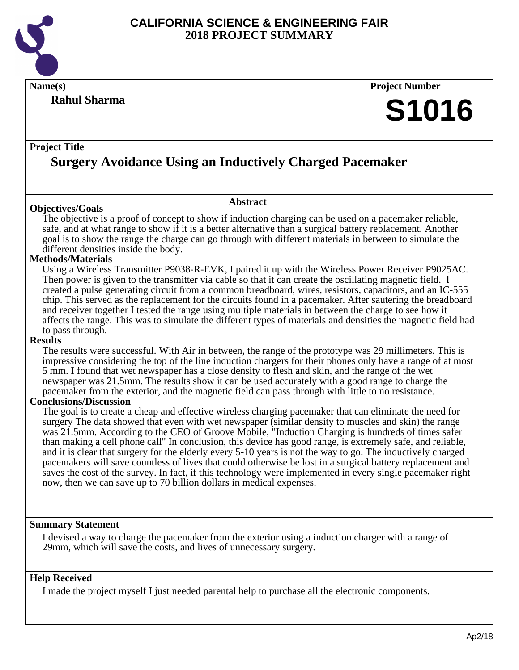

**Name(s) Project Number**

#### **Rahul Sharma**

# **S1016**

#### **Project Title**

# **Surgery Avoidance Using an Inductively Charged Pacemaker**

#### **Objectives/Goals**

The objective is a proof of concept to show if induction charging can be used on a pacemaker reliable, safe, and at what range to show if it is a better alternative than a surgical battery replacement. Another goal is to show the range the charge can go through with different materials in between to simulate the different densities inside the body.

**Abstract**

#### **Methods/Materials**

Using a Wireless Transmitter P9038-R-EVK, I paired it up with the Wireless Power Receiver P9025AC. Then power is given to the transmitter via cable so that it can create the oscillating magnetic field. I created a pulse generating circuit from a common breadboard, wires, resistors, capacitors, and an IC-555 chip. This served as the replacement for the circuits found in a pacemaker. After sautering the breadboard and receiver together I tested the range using multiple materials in between the charge to see how it affects the range. This was to simulate the different types of materials and densities the magnetic field had to pass through.

#### **Results**

The results were successful. With Air in between, the range of the prototype was 29 millimeters. This is impressive considering the top of the line induction chargers for their phones only have a range of at most 5 mm. I found that wet newspaper has a close density to flesh and skin, and the range of the wet newspaper was 21.5mm. The results show it can be used accurately with a good range to charge the pacemaker from the exterior, and the magnetic field can pass through with little to no resistance.

#### **Conclusions/Discussion**

The goal is to create a cheap and effective wireless charging pacemaker that can eliminate the need for surgery The data showed that even with wet newspaper (similar density to muscles and skin) the range was 21.5mm. According to the CEO of Groove Mobile, "Induction Charging is hundreds of times safer than making a cell phone call" In conclusion, this device has good range, is extremely safe, and reliable, and it is clear that surgery for the elderly every 5-10 years is not the way to go. The inductively charged pacemakers will save countless of lives that could otherwise be lost in a surgical battery replacement and saves the cost of the survey. In fact, if this technology were implemented in every single pacemaker right now, then we can save up to 70 billion dollars in medical expenses.

#### **Summary Statement**

I devised a way to charge the pacemaker from the exterior using a induction charger with a range of 29mm, which will save the costs, and lives of unnecessary surgery.

#### **Help Received**

I made the project myself I just needed parental help to purchase all the electronic components.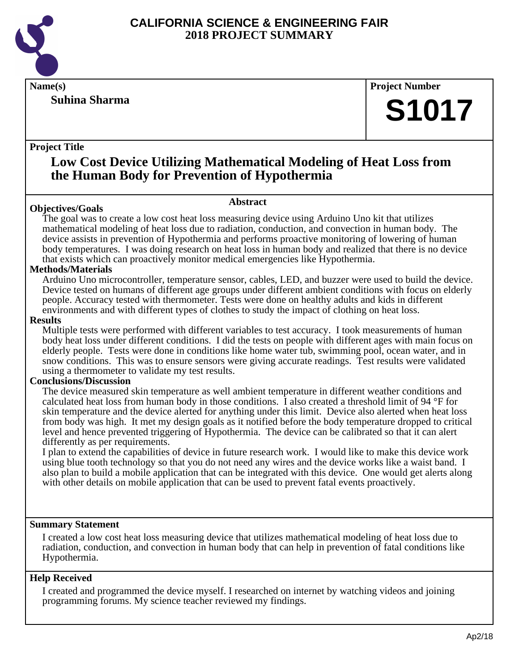

#### **Suhina Sharma**

#### **Name(s) Project Number**

# **S1017**

#### **Project Title**

### **Low Cost Device Utilizing Mathematical Modeling of Heat Loss from the Human Body for Prevention of Hypothermia**

### **Abstract**

**Objectives/Goals** The goal was to create a low cost heat loss measuring device using Arduino Uno kit that utilizes mathematical modeling of heat loss due to radiation, conduction, and convection in human body. The device assists in prevention of Hypothermia and performs proactive monitoring of lowering of human body temperatures. I was doing research on heat loss in human body and realized that there is no device that exists which can proactively monitor medical emergencies like Hypothermia.

#### **Methods/Materials**

Arduino Uno microcontroller, temperature sensor, cables, LED, and buzzer were used to build the device. Device tested on humans of different age groups under different ambient conditions with focus on elderly people. Accuracy tested with thermometer. Tests were done on healthy adults and kids in different environments and with different types of clothes to study the impact of clothing on heat loss.

#### **Results**

Multiple tests were performed with different variables to test accuracy. I took measurements of human body heat loss under different conditions. I did the tests on people with different ages with main focus on elderly people. Tests were done in conditions like home water tub, swimming pool, ocean water, and in snow conditions. This was to ensure sensors were giving accurate readings. Test results were validated using a thermometer to validate my test results.

#### **Conclusions/Discussion**

The device measured skin temperature as well ambient temperature in different weather conditions and calculated heat loss from human body in those conditions. I also created a threshold limit of 94 °F for skin temperature and the device alerted for anything under this limit. Device also alerted when heat loss from body was high. It met my design goals as it notified before the body temperature dropped to critical level and hence prevented triggering of Hypothermia. The device can be calibrated so that it can alert differently as per requirements.

I plan to extend the capabilities of device in future research work. I would like to make this device work using blue tooth technology so that you do not need any wires and the device works like a waist band. I also plan to build a mobile application that can be integrated with this device. One would get alerts along with other details on mobile application that can be used to prevent fatal events proactively.

#### **Summary Statement**

I created a low cost heat loss measuring device that utilizes mathematical modeling of heat loss due to radiation, conduction, and convection in human body that can help in prevention of fatal conditions like Hypothermia.

#### **Help Received**

I created and programmed the device myself. I researched on internet by watching videos and joining programming forums. My science teacher reviewed my findings.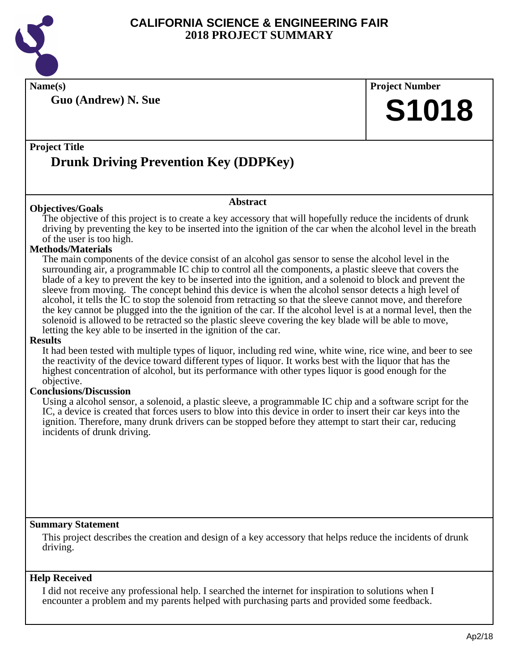

**Name(s) Project Number**

**Guo (Andrew) N. Sue**

# **S1018**

### **Project Title Drunk Driving Prevention Key (DDPKey)**

#### **Abstract**

The objective of this project is to create a key accessory that will hopefully reduce the incidents of drunk driving by preventing the key to be inserted into the ignition of the car when the alcohol level in the breath of the user is too high.

#### **Methods/Materials**

**Objectives/Goals**

The main components of the device consist of an alcohol gas sensor to sense the alcohol level in the surrounding air, a programmable IC chip to control all the components, a plastic sleeve that covers the blade of a key to prevent the key to be inserted into the ignition, and a solenoid to block and prevent the sleeve from moving. The concept behind this device is when the alcohol sensor detects a high level of alcohol, it tells the IC to stop the solenoid from retracting so that the sleeve cannot move, and therefore the key cannot be plugged into the the ignition of the car. If the alcohol level is at a normal level, then the solenoid is allowed to be retracted so the plastic sleeve covering the key blade will be able to move, letting the key able to be inserted in the ignition of the car.

#### **Results**

It had been tested with multiple types of liquor, including red wine, white wine, rice wine, and beer to see the reactivity of the device toward different types of liquor. It works best with the liquor that has the highest concentration of alcohol, but its performance with other types liquor is good enough for the objective.

#### **Conclusions/Discussion**

Using a alcohol sensor, a solenoid, a plastic sleeve, a programmable IC chip and a software script for the IC, a device is created that forces users to blow into this device in order to insert their car keys into the ignition. Therefore, many drunk drivers can be stopped before they attempt to start their car, reducing incidents of drunk driving.

#### **Summary Statement**

This project describes the creation and design of a key accessory that helps reduce the incidents of drunk driving.

#### **Help Received**

I did not receive any professional help. I searched the internet for inspiration to solutions when I encounter a problem and my parents helped with purchasing parts and provided some feedback.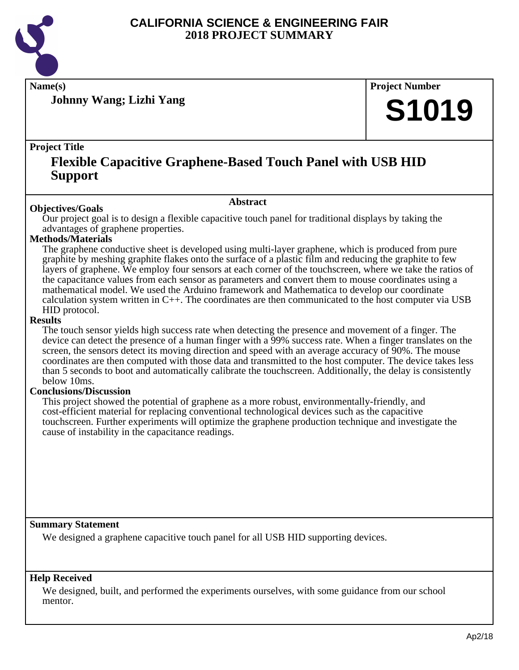

**Name(s) Project Number**

**Johnny Wang; Lizhi Yang**

# **S1019**

#### **Project Title**

## **Flexible Capacitive Graphene-Based Touch Panel with USB HID Support**

#### **Abstract**

**Objectives/Goals** Our project goal is to design a flexible capacitive touch panel for traditional displays by taking the advantages of graphene properties.

#### **Methods/Materials**

The graphene conductive sheet is developed using multi-layer graphene, which is produced from pure graphite by meshing graphite flakes onto the surface of a plastic film and reducing the graphite to few layers of graphene. We employ four sensors at each corner of the touchscreen, where we take the ratios of the capacitance values from each sensor as parameters and convert them to mouse coordinates using a mathematical model. We used the Arduino framework and Mathematica to develop our coordinate calculation system written in  $C_{++}$ . The coordinates are then communicated to the host computer via USB HID protocol.

#### **Results**

The touch sensor yields high success rate when detecting the presence and movement of a finger. The device can detect the presence of a human finger with a 99% success rate. When a finger translates on the screen, the sensors detect its moving direction and speed with an average accuracy of 90%. The mouse coordinates are then computed with those data and transmitted to the host computer. The device takes less than 5 seconds to boot and automatically calibrate the touchscreen. Additionally, the delay is consistently below 10ms.

#### **Conclusions/Discussion**

This project showed the potential of graphene as a more robust, environmentally-friendly, and cost-efficient material for replacing conventional technological devices such as the capacitive touchscreen. Further experiments will optimize the graphene production technique and investigate the cause of instability in the capacitance readings.

#### **Summary Statement**

We designed a graphene capacitive touch panel for all USB HID supporting devices.

#### **Help Received**

We designed, built, and performed the experiments ourselves, with some guidance from our school mentor.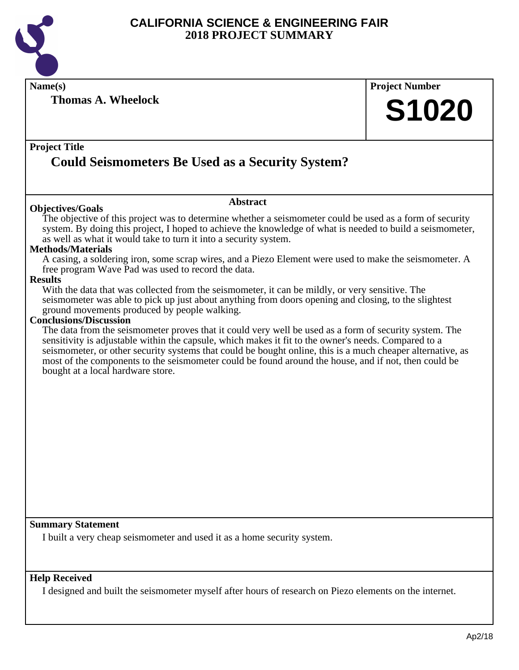

**Name(s) Project Number**

**Thomas A. Wheelock**

# **S1020**

#### **Project Title**

# **Could Seismometers Be Used as a Security System?**

#### **Objectives/Goals**

#### **Abstract**

The objective of this project was to determine whether a seismometer could be used as a form of security system. By doing this project, I hoped to achieve the knowledge of what is needed to build a seismometer, as well as what it would take to turn it into a security system.

#### **Methods/Materials**

A casing, a soldering iron, some scrap wires, and a Piezo Element were used to make the seismometer. A free program Wave Pad was used to record the data.

#### **Results**

With the data that was collected from the seismometer, it can be mildly, or very sensitive. The seismometer was able to pick up just about anything from doors opening and closing, to the slightest ground movements produced by people walking.

#### **Conclusions/Discussion**

The data from the seismometer proves that it could very well be used as a form of security system. The sensitivity is adjustable within the capsule, which makes it fit to the owner's needs. Compared to a seismometer, or other security systems that could be bought online, this is a much cheaper alternative, as most of the components to the seismometer could be found around the house, and if not, then could be bought at a local hardware store.

#### **Summary Statement**

I built a very cheap seismometer and used it as a home security system.

#### **Help Received**

I designed and built the seismometer myself after hours of research on Piezo elements on the internet.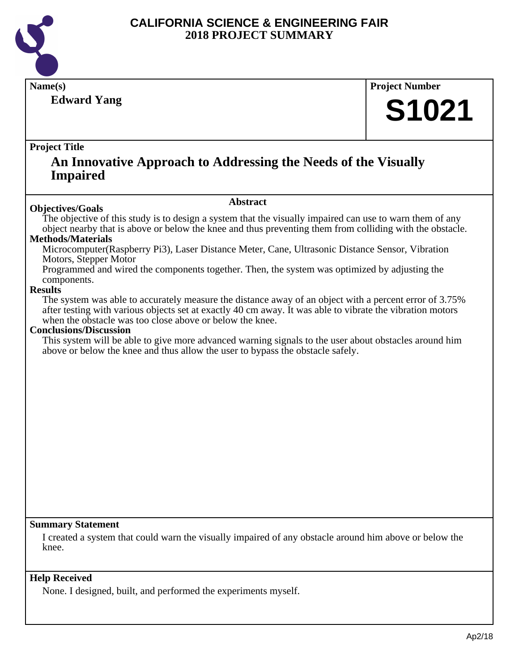

**Edward Yang**

### **Name(s) Project Number**

# **S1021**

#### **Project Title**

### **An Innovative Approach to Addressing the Needs of the Visually Impaired**

#### **Abstract**

**Objectives/Goals** The objective of this study is to design a system that the visually impaired can use to warn them of any object nearby that is above or below the knee and thus preventing them from colliding with the obstacle.

#### **Methods/Materials**

Microcomputer(Raspberry Pi3), Laser Distance Meter, Cane, Ultrasonic Distance Sensor, Vibration Motors, Stepper Motor

Programmed and wired the components together. Then, the system was optimized by adjusting the components.

#### **Results**

The system was able to accurately measure the distance away of an object with a percent error of 3.75% after testing with various objects set at exactly 40 cm away. It was able to vibrate the vibration motors when the obstacle was too close above or below the knee.

#### **Conclusions/Discussion**

This system will be able to give more advanced warning signals to the user about obstacles around him above or below the knee and thus allow the user to bypass the obstacle safely.

#### **Summary Statement**

I created a system that could warn the visually impaired of any obstacle around him above or below the knee.

#### **Help Received**

None. I designed, built, and performed the experiments myself.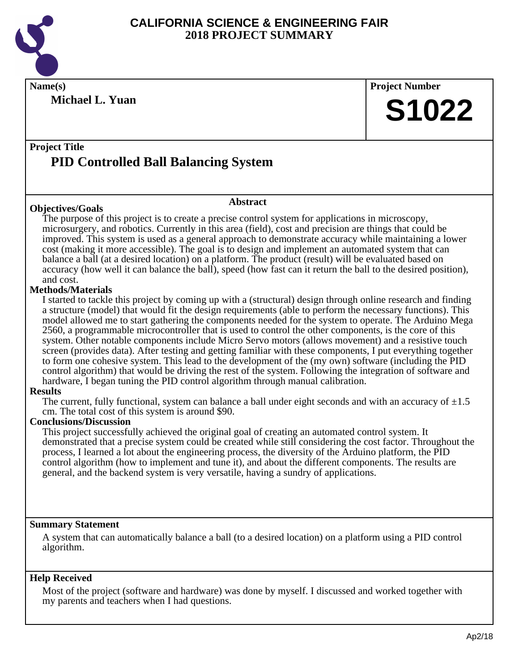

**Michael L. Yuan**

**Name(s) Project Number S1022**

### **Project Title PID Controlled Ball Balancing System**

#### **Objectives/Goals**

#### **Abstract**

The purpose of this project is to create a precise control system for applications in microscopy, microsurgery, and robotics. Currently in this area (field), cost and precision are things that could be improved. This system is used as a general approach to demonstrate accuracy while maintaining a lower cost (making it more accessible). The goal is to design and implement an automated system that can balance a ball (at a desired location) on a platform. The product (result) will be evaluated based on accuracy (how well it can balance the ball), speed (how fast can it return the ball to the desired position), and cost.

#### **Methods/Materials**

I started to tackle this project by coming up with a (structural) design through online research and finding a structure (model) that would fit the design requirements (able to perform the necessary functions). This model allowed me to start gathering the components needed for the system to operate. The Arduino Mega 2560, a programmable microcontroller that is used to control the other components, is the core of this system. Other notable components include Micro Servo motors (allows movement) and a resistive touch screen (provides data). After testing and getting familiar with these components, I put everything together to form one cohesive system. This lead to the development of the (my own) software (including the PID control algorithm) that would be driving the rest of the system. Following the integration of software and hardware, I began tuning the PID control algorithm through manual calibration.

#### **Results**

The current, fully functional, system can balance a ball under eight seconds and with an accuracy of  $\pm 1.5$ cm. The total cost of this system is around \$90.

#### **Conclusions/Discussion**

This project successfully achieved the original goal of creating an automated control system. It demonstrated that a precise system could be created while still considering the cost factor. Throughout the process, I learned a lot about the engineering process, the diversity of the Arduino platform, the PID control algorithm (how to implement and tune it), and about the different components. The results are general, and the backend system is very versatile, having a sundry of applications.

#### **Summary Statement**

A system that can automatically balance a ball (to a desired location) on a platform using a PID control algorithm.

#### **Help Received**

Most of the project (software and hardware) was done by myself. I discussed and worked together with my parents and teachers when I had questions.